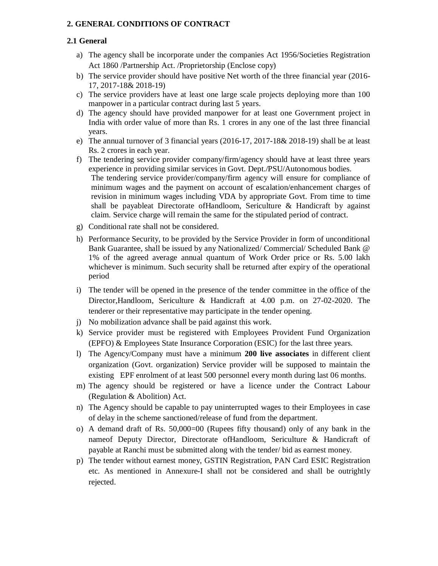## **2. GENERAL CONDITIONS OF CONTRACT**

#### **2.1 General**

- a) The agency shall be incorporate under the companies Act 1956/Societies Registration Act 1860 /Partnership Act. /Proprietorship (Enclose copy)
- b) The service provider should have positive Net worth of the three financial year (2016- 17, 2017-18& 2018-19)
- c) The service providers have at least one large scale projects deploying more than 100 manpower in a particular contract during last 5 years.
- d) The agency should have provided manpower for at least one Government project in India with order value of more than Rs. 1 crores in any one of the last three financial years.
- e) The annual turnover of 3 financial years (2016-17, 2017-18& 2018-19) shall be at least Rs. 2 crores in each year.
- f) The tendering service provider company/firm/agency should have at least three years experience in providing similar services in Govt. Dept./PSU/Autonomous bodies. The tendering service provider/company/firm agency will ensure for compliance of minimum wages and the payment on account of escalation/enhancement charges of revision in minimum wages including VDA by appropriate Govt. From time to time shall be payableat Directorate ofHandloom, Sericulture & Handicraft by against claim. Service charge will remain the same for the stipulated period of contract.
- g) Conditional rate shall not be considered.
- h) Performance Security, to be provided by the Service Provider in form of unconditional Bank Guarantee, shall be issued by any Nationalized/ Commercial/ Scheduled Bank @ 1% of the agreed average annual quantum of Work Order price or Rs. 5.00 lakh whichever is minimum. Such security shall be returned after expiry of the operational period
- i) The tender will be opened in the presence of the tender committee in the office of the Director,Handloom, Sericulture & Handicraft at 4.00 p.m. on 27-02-2020. The tenderer or their representative may participate in the tender opening.
- j) No mobilization advance shall be paid against this work.
- k) Service provider must be registered with Employees Provident Fund Organization (EPFO) & Employees State Insurance Corporation (ESIC) for the last three years.
- l) The Agency/Company must have a minimum **200 live associates** in different client organization (Govt. organization) Service provider will be supposed to maintain the existing EPF enrolment of at least 500 personnel every month during last 06 months.
- m) The agency should be registered or have a licence under the Contract Labour (Regulation & Abolition) Act.
- n) The Agency should be capable to pay uninterrupted wages to their Employees in case of delay in the scheme sanctioned/release of fund from the department.
- o) A demand draft of Rs. 50,000=00 (Rupees fifty thousand) only of any bank in the nameof Deputy Director, Directorate ofHandloom, Sericulture & Handicraft of payable at Ranchi must be submitted along with the tender/ bid as earnest money.
- p) The tender without earnest money, GSTIN Registration, PAN Card ESIC Registration etc. As mentioned in Annexure-I shall not be considered and shall be outrightly rejected.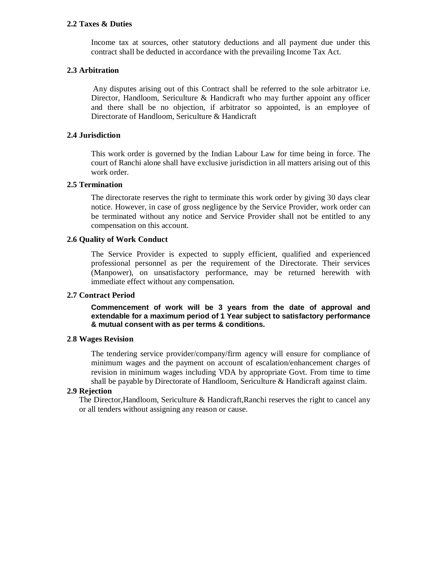#### **2.2 Taxes & Duties**

Income tax at sources, other statutory deductions and all payment due under this contract shall be deducted in accordance with the prevailing Income Tax Act.

#### **2.3 Arbitration**

Any disputes arising out of this Contract shall be referred to the sole arbitrator i.e. Director, Handloom, Sericulture & Handicraft who may further appoint any officer and there shall be no objection, if arbitrator so appointed, is an employee of Directorate of Handloom, Sericulture & Handicraft

#### **2.4 Jurisdiction**

This work order is governed by the Indian Labour Law for time being in force. The court of Ranchi alone shall have exclusive jurisdiction in all matters arising out of this work order.

#### **2.5 Termination**

The directorate reserves the right to terminate this work order by giving 30 days clear notice. However, in case of gross negligence by the Service Provider, work order can be terminated without any notice and Service Provider shall not be entitled to any compensation on this account.

## **2.6 Quality of Work Conduct**

The Service Provider is expected to supply efficient, qualified and experienced professional personnel as per the requirement of the Directorate. Their services (Manpower), on unsatisfactory performance, may be returned herewith with immediate effect without any compensation.

#### **2.7 Contract Period**

**Commencement of work will be 3 years from the date of approval and extendable for a maximum period of 1 Year subject to satisfactory performance & mutual consent with as per terms & conditions.**

#### **2**.**8 Wages Revision**

The tendering service provider/company/firm agency will ensure for compliance of minimum wages and the payment on account of escalation/enhancement charges of revision in minimum wages including VDA by appropriate Govt. From time to time shall be payable by Directorate of Handloom, Sericulture & Handicraft against claim.

#### **2.9 Rejection**

The Director,Handloom, Sericulture & Handicraft,Ranchi reserves the right to cancel any or all tenders without assigning any reason or cause.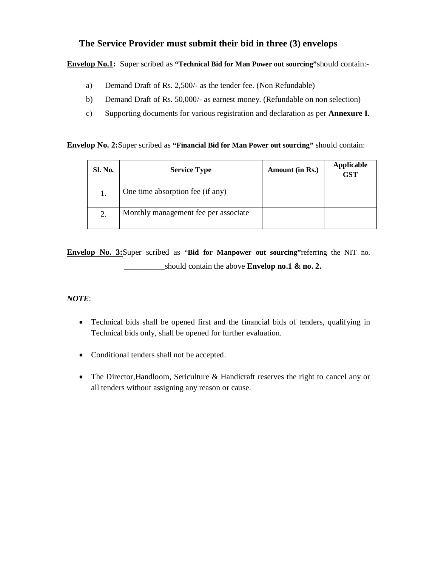## **The Service Provider must submit their bid in three (3) envelops**

## **Envelop No.1:** Super scribed as **"Technical Bid for Man Power out sourcing"**should contain:-

- a) Demand Draft of Rs. 2,500/- as the tender fee. (Non Refundable)
- b) Demand Draft of Rs. 50,000/- as earnest money. (Refundable on non selection)
- c) Supporting documents for various registration and declaration as per **Annexure I.**

## **Envelop No. 2:**Super scribed as **"Financial Bid for Man Power out sourcing"** should contain:

| Sl. No. | <b>Service Type</b>                  | Amount (in Rs.) | <b>Applicable</b><br><b>GST</b> |
|---------|--------------------------------------|-----------------|---------------------------------|
| 1.      | One time absorption fee (if any)     |                 |                                 |
| 2.      | Monthly management fee per associate |                 |                                 |

**Envelop No. 3:**Super scribed as "**Bid for Manpower out sourcing"**referring the NIT no. should contain the above **Envelop no.1 & no. 2.** 

## *NOTE*:

- Technical bids shall be opened first and the financial bids of tenders, qualifying in Technical bids only, shall be opened for further evaluation.
- Conditional tenders shall not be accepted.
- The Director, Handloom, Sericulture & Handicraft reserves the right to cancel any or all tenders without assigning any reason or cause.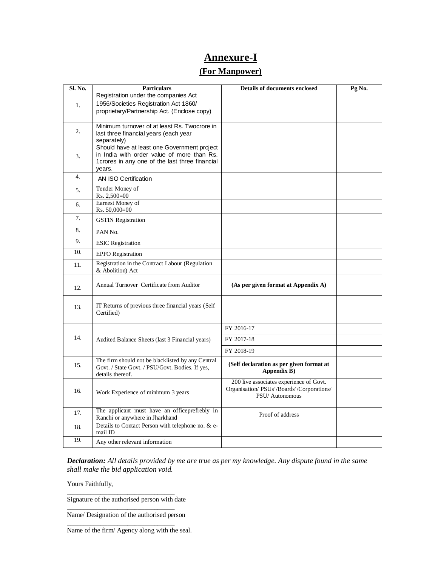## **Annexure-I**

## **(For Manpower)**

| Sl. No. | <b>Particulars</b>                                               | <b>Details of documents enclosed</b>                                                 | Pg No. |
|---------|------------------------------------------------------------------|--------------------------------------------------------------------------------------|--------|
| 1.      | Registration under the companies Act                             |                                                                                      |        |
|         | 1956/Societies Registration Act 1860/                            |                                                                                      |        |
|         | proprietary/Partnership Act. (Enclose copy)                      |                                                                                      |        |
|         | Minimum turnover of at least Rs. Twocrore in                     |                                                                                      |        |
| 2.      | last three financial years (each year                            |                                                                                      |        |
|         | separately)                                                      |                                                                                      |        |
|         | Should have at least one Government project                      |                                                                                      |        |
| 3.      | in India with order value of more than Rs.                       |                                                                                      |        |
|         | 1crores in any one of the last three financial                   |                                                                                      |        |
|         | years.                                                           |                                                                                      |        |
| 4.      | AN ISO Certification                                             |                                                                                      |        |
| 5.      | Tender Money of                                                  |                                                                                      |        |
|         | Rs. 2,500=00                                                     |                                                                                      |        |
| 6.      | Earnest Money of<br>Rs. 50,000=00                                |                                                                                      |        |
| 7.      |                                                                  |                                                                                      |        |
|         | <b>GSTIN</b> Registration                                        |                                                                                      |        |
| 8.      | PAN No.                                                          |                                                                                      |        |
| 9.      | <b>ESIC</b> Registration                                         |                                                                                      |        |
| 10.     | <b>EPFO</b> Registration                                         |                                                                                      |        |
| 11.     | Registration in the Contract Labour (Regulation                  |                                                                                      |        |
|         | & Abolition) Act                                                 |                                                                                      |        |
|         | Annual Turnover Certificate from Auditor                         | (As per given format at Appendix A)                                                  |        |
| 12.     |                                                                  |                                                                                      |        |
|         |                                                                  |                                                                                      |        |
| 13.     | IT Returns of previous three financial years (Self<br>Certified) |                                                                                      |        |
|         |                                                                  |                                                                                      |        |
|         |                                                                  | FY 2016-17                                                                           |        |
| 14.     | Audited Balance Sheets (last 3 Financial years)                  | FY 2017-18                                                                           |        |
|         |                                                                  | FY 2018-19                                                                           |        |
|         | The firm should not be blacklisted by any Central                |                                                                                      |        |
| 15.     | Govt. / State Govt. / PSU/Govt. Bodies. If yes,                  | (Self declaration as per given format at<br>Appendix B)                              |        |
|         | details thereof.                                                 |                                                                                      |        |
| 16.     |                                                                  | 200 live associates experience of Govt.<br>Organisation/ PSUs'/Boards'/Corporations/ |        |
|         | Work Experience of minimum 3 years                               | PSU/Autonomous                                                                       |        |
|         |                                                                  |                                                                                      |        |
| 17.     | The applicant must have an officeprefrebly in                    | Proof of address                                                                     |        |
|         | Ranchi or anywhere in Jharkhand                                  |                                                                                      |        |
| 18.     | Details to Contact Person with telephone no. & e-<br>mail ID     |                                                                                      |        |
| 19.     | Any other relevant information                                   |                                                                                      |        |

*Declaration: All details provided by me are true as per my knowledge. Any dispute found in the same shall make the bid application void.* 

Yours Faithfully,

Signature of the authorised person with date

\_\_\_\_\_\_\_\_\_\_\_\_\_\_\_\_\_\_\_\_\_\_\_\_\_\_\_\_\_\_\_\_

\_\_\_\_\_\_\_\_\_\_\_\_\_\_\_\_\_\_\_\_\_\_\_\_\_\_\_\_\_\_\_\_ Name/ Designation of the authorised person \_\_\_\_\_\_\_\_\_\_\_\_\_\_\_\_\_\_\_\_\_\_\_\_\_\_\_\_\_\_\_\_

Name of the firm/ Agency along with the seal.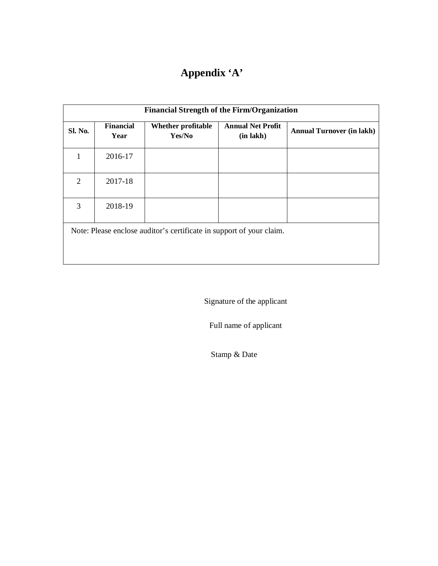# **Appendix 'A'**

| <b>Financial Strength of the Firm/Organization</b>                   |                          |                              |                                       |                                  |  |  |  |
|----------------------------------------------------------------------|--------------------------|------------------------------|---------------------------------------|----------------------------------|--|--|--|
| <b>Sl. No.</b>                                                       | <b>Financial</b><br>Year | Whether profitable<br>Yes/No | <b>Annual Net Profit</b><br>(in lakh) | <b>Annual Turnover (in lakh)</b> |  |  |  |
| 1                                                                    | 2016-17                  |                              |                                       |                                  |  |  |  |
| 2                                                                    | 2017-18                  |                              |                                       |                                  |  |  |  |
| 3                                                                    | 2018-19                  |                              |                                       |                                  |  |  |  |
| Note: Please enclose auditor's certificate in support of your claim. |                          |                              |                                       |                                  |  |  |  |

Signature of the applicant

Full name of applicant

Stamp & Date